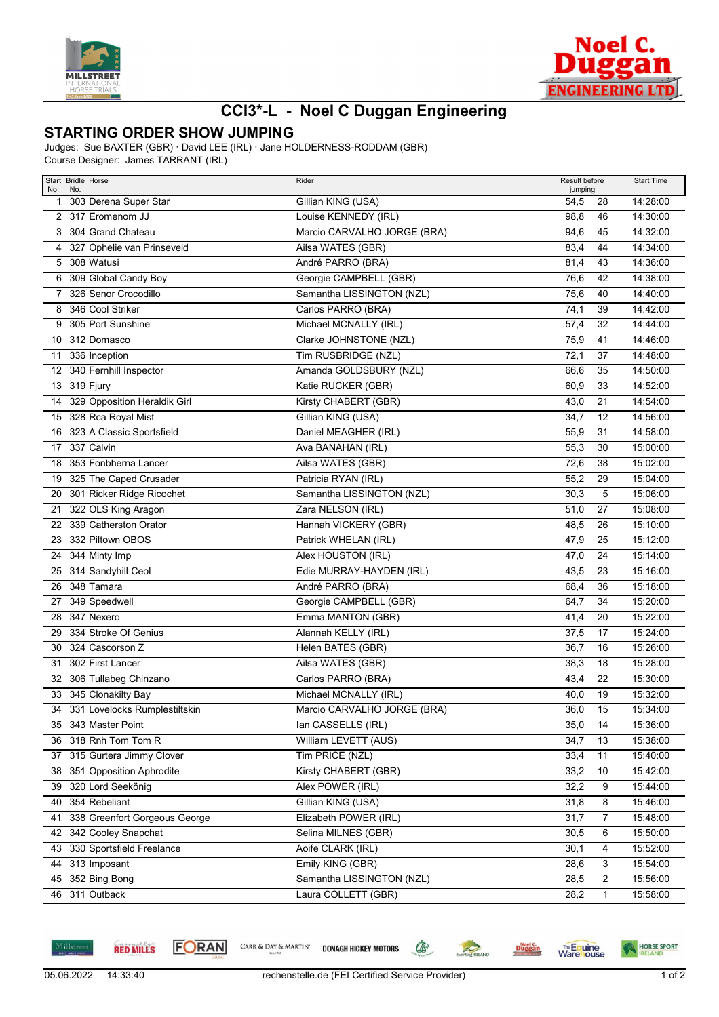



## **CCI3\*-L - Noel C Duggan Engineering**

## **STARTING ORDER SHOW JUMPING**

Judges: Sue BAXTER (GBR) · David LEE (IRL) · Jane HOLDERNESS-RODDAM (GBR) Course Designer: James TARRANT (IRL)

| No. | Start Bridle Horse<br>No.                       | Rider                                 | Result before<br>jumping |              | <b>Start Time</b>    |
|-----|-------------------------------------------------|---------------------------------------|--------------------------|--------------|----------------------|
|     | 1 303 Derena Super Star                         | Gillian KING (USA)                    | 54,5                     | 28           | 14:28:00             |
|     | 2 317 Eromenom JJ                               | Louise KENNEDY (IRL)                  | 98,8                     | 46           | 14:30:00             |
|     | 3 304 Grand Chateau                             | Marcio CARVALHO JORGE (BRA)           | 94,6                     | 45           | 14:32:00             |
|     | 4 327 Ophelie van Prinseveld                    | Ailsa WATES (GBR)                     | 83,4                     | 44           | 14:34:00             |
|     | 5 308 Watusi                                    | André PARRO (BRA)                     | 81,4                     | 43           | 14:36:00             |
|     | 6 309 Global Candy Boy                          | Georgie CAMPBELL (GBR)                | 76,6                     | 42           | 14:38:00             |
|     | 7 326 Senor Crocodillo                          | Samantha LISSINGTON (NZL)             | 75,6                     | 40           | 14:40:00             |
| 8   | 346 Cool Striker                                | Carlos PARRO (BRA)                    | 74,1                     | 39           | 14:42:00             |
| 9   | 305 Port Sunshine                               | Michael MCNALLY (IRL)                 | 57,4                     | 32           | 14:44:00             |
| 10  | 312 Domasco                                     | Clarke JOHNSTONE (NZL)                | 75,9                     | 41           | 14:46:00             |
|     | 11 336 Inception                                | Tim RUSBRIDGE (NZL)                   | 72,1                     | 37           | 14:48:00             |
|     | 12 340 Fernhill Inspector                       | Amanda GOLDSBURY (NZL)                | 66,6                     | 35           | 14:50:00             |
|     | 13 319 Fjury                                    | Katie RUCKER (GBR)                    | 60,9                     | 33           | 14:52:00             |
| 14  | 329 Opposition Heraldik Girl                    | Kirsty CHABERT (GBR)                  | 43,0                     | 21           | 14:54:00             |
|     | 15 328 Rca Royal Mist                           | Gillian KING (USA)                    | 34,7                     | 12           | 14:56:00             |
|     | 16 323 A Classic Sportsfield                    | Daniel MEAGHER (IRL)                  | 55,9                     | 31           | 14:58:00             |
|     | 17 337 Calvin                                   | Ava BANAHAN (IRL)                     | 55,3                     | 30           | 15:00:00             |
|     | 18 353 Fonbherna Lancer                         | Ailsa WATES (GBR)                     | 72,6                     | 38           | 15:02:00             |
|     | 19 325 The Caped Crusader                       | Patricia RYAN (IRL)                   | 55,2                     | 29           | 15:04:00             |
| 20  | 301 Ricker Ridge Ricochet                       | Samantha LISSINGTON (NZL)             | 30,3                     | 5            | 15:06:00             |
| 21  | 322 OLS King Aragon                             | Zara NELSON (IRL)                     | 51,0                     | 27           | 15:08:00             |
| 22  | 339 Catherston Orator                           | Hannah VICKERY (GBR)                  | 48,5                     | 26           | 15:10:00             |
| 23  | 332 Piltown OBOS                                | Patrick WHELAN (IRL)                  | 47,9                     | 25           | 15:12:00             |
|     | 24 344 Minty Imp                                | Alex HOUSTON (IRL)                    | 47,0                     | 24           | 15:14:00             |
| 25  | 314 Sandyhill Ceol                              | Edie MURRAY-HAYDEN (IRL)              | 43,5                     | 23           | 15:16:00             |
| 26  | 348 Tamara                                      | André PARRO (BRA)                     | 68,4                     | 36           | 15:18:00             |
|     | 27 349 Speedwell                                | Georgie CAMPBELL (GBR)                | 64,7                     | 34           | 15:20:00             |
| 28  | 347 Nexero                                      | Emma MANTON (GBR)                     | 41,4                     | 20           | 15:22:00             |
|     | 29 334 Stroke Of Genius                         | Alannah KELLY (IRL)                   | 37,5                     | 17           | 15:24:00             |
| 30  | 324 Cascorson Z                                 | Helen BATES (GBR)                     | 36,7                     | 16           | 15:26:00             |
| 31  | 302 First Lancer                                | Ailsa WATES (GBR)                     | 38,3                     | 18           | 15:28:00             |
| 32  | 306 Tullabeg Chinzano                           | Carlos PARRO (BRA)                    | 43,4                     | 22           | 15:30:00             |
| 33  | 345 Clonakilty Bay                              | Michael MCNALLY (IRL)                 | 40,0                     | 19           | 15:32:00             |
|     | 34 331 Lovelocks Rumplestiltskin                | Marcio CARVALHO JORGE (BRA)           | 36,0                     | 15           | 15:34:00             |
|     | 35 343 Master Point                             | lan CASSELLS (IRL)                    | 35,0                     | 14           | 15:36:00             |
|     | 36 318 Rnh Tom Tom R                            | William LEVETT (AUS)                  | 34,7                     | 13           | 15:38:00             |
|     | 37 315 Gurtera Jimmy Clover                     | Tim PRICE (NZL)                       | 33,4                     | 11           | 15:40:00             |
|     | 38 351 Opposition Aphrodite                     | Kirsty CHABERT (GBR)                  | 33,2                     | 10           | 15:42:00             |
|     | 39 320 Lord Seekönig                            | Alex POWER (IRL)                      | 32,2                     | 9            | 15:44:00             |
|     | 40 354 Rebeliant                                | Gillian KING (USA)                    | 31,8                     | 8            | 15:46:00             |
|     | 41 338 Greenfort Gorgeous George                | Elizabeth POWER (IRL)                 | 31,7                     | 7            | 15:48:00             |
|     | 42 342 Cooley Snapchat                          | Selina MILNES (GBR)                   | 30,5                     | 6            | 15:50:00             |
|     | 43 330 Sportsfield Freelance<br>44 313 Imposant | Aoife CLARK (IRL)<br>Emily KING (GBR) | 30,1<br>28,6             | 4<br>3       | 15:52:00<br>15:54:00 |
|     | 45 352 Bing Bong                                | Samantha LISSINGTON (NZL)             |                          | 2            | 15:56:00             |
|     | 46 311 Outback                                  | Laura COLLETT (GBR)                   | 28,5                     |              |                      |
|     |                                                 |                                       | 28,2                     | $\mathbf{1}$ | 15:58:00             |





CARR & DAY & MARTIN' **DONAGH HICKEY MOTORS** 

**Executing RELAND** 

Duggan

**Warehouse** 

 $\mathbb{G}$ 

HORSE SPORT